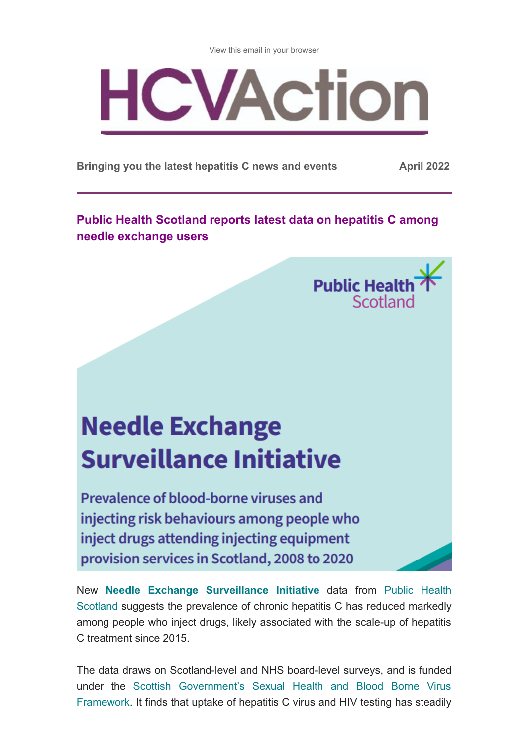[View this email in your browser](https://mailchi.mp/cf9fdac40fa5/hcv-action-e-update-may-14971829?e=[UNIQID])



**Bringing you the latest hepatitis C news and events April 2022**

**Public Health Scotland reports latest data on hepatitis C among needle exchange users**



# **Needle Exchange Surveillance Initiative**

Prevalence of blood-borne viruses and injecting risk behaviours among people who inject drugs attending injecting equipment provision services in Scotland, 2008 to 2020

New **[Needle Exchange Surveillance Initiative](https://publichealthscotland.scot/media/12421/2022-04-01-nesi-19-20-report.pdf)** data from Public Health Scotland [suggests the prevalence of chronic hepatitis C has reduced markedly](https://publichealthscotland.scot/) among people who inject drugs, likely associated with the scale-up of hepatitis C treatment since 2015.

The data draws on Scotland-level and NHS board-level surveys, and is funded under the [Scottish Government's Sexual Health and Blood Borne Virus](https://www.gov.scot/publications/reset-rebuild-recovery-plan-sexual-health-blood-borne-virus-services/pages/2/) Framework. It finds that uptake of hepatitis C virus and HIV testing has steadily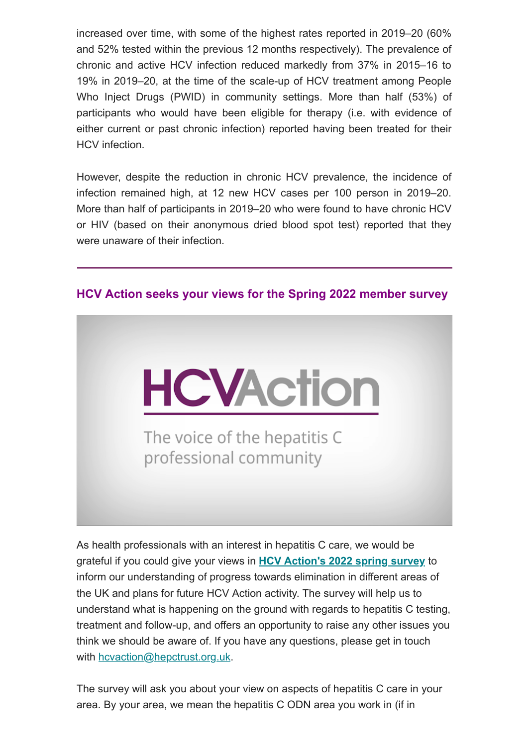increased over time, with some of the highest rates reported in 2019–20 (60% and 52% tested within the previous 12 months respectively). The prevalence of chronic and active HCV infection reduced markedly from 37% in 2015–16 to 19% in 2019–20, at the time of the scale-up of HCV treatment among People Who Inject Drugs (PWID) in community settings. More than half (53%) of participants who would have been eligible for therapy (i.e. with evidence of either current or past chronic infection) reported having been treated for their HCV infection.

However, despite the reduction in chronic HCV prevalence, the incidence of infection remained high, at 12 new HCV cases per 100 person in 2019–20. More than half of participants in 2019–20 who were found to have chronic HCV or HIV (based on their anonymous dried blood spot test) reported that they were unaware of their infection.



### **HCV Action seeks your views for the Spring 2022 member survey**

As health professionals with an interest in hepatitis C care, we would be grateful if you could give your views in **[HCV Action's 2022 spring survey](https://docs.google.com/forms/d/e/1FAIpQLSdjIOi4lC6dCwdLwk9hjaTa7YnHgkg4kHxwEWCi0Ng8xvXukQ/viewform)** to inform our understanding of progress towards elimination in different areas of the UK and plans for future HCV Action activity. The survey will help us to understand what is happening on the ground with regards to hepatitis C testing, treatment and follow-up, and offers an opportunity to raise any other issues you think we should be aware of. If you have any questions, please get in touch with [hcvaction@hepctrust.org.uk](mailto:hcvaction@hepctrust.org.uk).

The survey will ask you about your view on aspects of hepatitis C care in your area. By your area, we mean the hepatitis C ODN area you work in (if in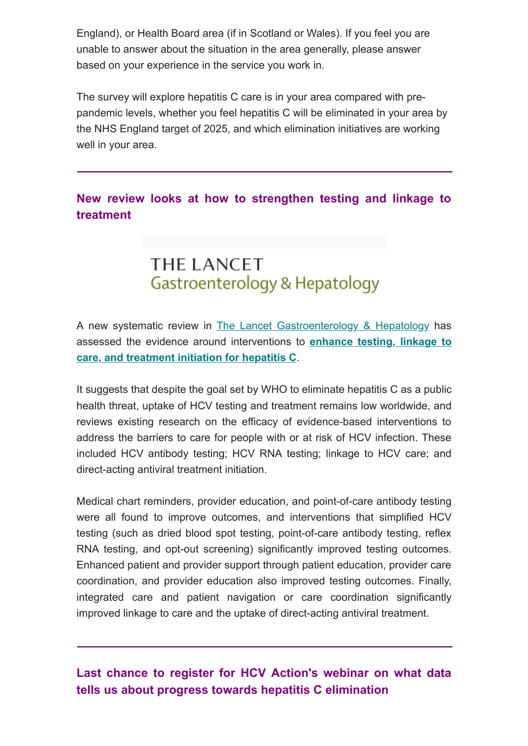England), or Health Board area (if in Scotland or Wales). If you feel you are unable to answer about the situation in the area generally, please answer based on your experience in the service you work in.

The survey will explore hepatitis C care is in your area compared with prepandemic levels, whether you feel hepatitis C will be eliminated in your area by the NHS England target of 2025, and which elimination initiatives are working well in your area.

### **New review looks at how to strengthen testing and linkage to treatment**

# **THE LANCET** Gastroenterology & Hepatology

A new systematic review in [The Lancet Gastroenterology & Hepatology](https://www.thelancet.com/journals/langas/home) has [assessed the evidence around interventions to](https://www.thelancet.com/journals/langas/article/PIIS2468-1253(21)00471-4/fulltext?msclkid=211b073dabab11ec8ee0ca0c82365b53) **enhance testing, linkage to care, and treatment initiation for hepatitis C**.

It suggests that despite the goal set by WHO to eliminate hepatitis C as a public health threat, uptake of HCV testing and treatment remains low worldwide, and reviews existing research on the efficacy of evidence-based interventions to address the barriers to care for people with or at risk of HCV infection. These included HCV antibody testing; HCV RNA testing; linkage to HCV care; and direct-acting antiviral treatment initiation.

Medical chart reminders, provider education, and point-of-care antibody testing were all found to improve outcomes, and interventions that simplified HCV testing (such as dried blood spot testing, point-of-care antibody testing, reflex RNA testing, and opt-out screening) significantly improved testing outcomes. Enhanced patient and provider support through patient education, provider care coordination, and provider education also improved testing outcomes. Finally, integrated care and patient navigation or care coordination significantly improved linkage to care and the uptake of direct-acting antiviral treatment.

## **Last chance to register for HCV Action's webinar on what data tells us about progress towards hepatitis C elimination**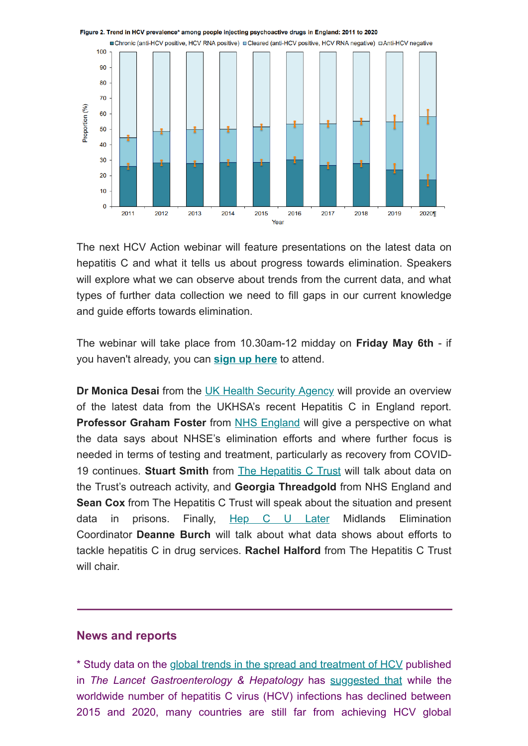

The next HCV Action webinar will feature presentations on the latest data on hepatitis C and what it tells us about progress towards elimination. Speakers will explore what we can observe about trends from the current data, and what types of further data collection we need to fill gaps in our current knowledge and guide efforts towards elimination.

The webinar will take place from 10.30am-12 midday on **Friday May 6th** - if you haven't already, you can **[sign up here](https://us02web.zoom.us/webinar/register/WN_exVRuV7uTuy1wOhiH1XS3g)** to attend.

**Dr Monica Desai** from the [UK Health Security Agency](https://www.gov.uk/government/organisations/uk-health-security-agency) will provide an overview of the latest data from the UKHSA's recent Hepatitis C in England report. **Professor Graham Foster** from [NHS England](https://www.england.nhs.uk/) will give a perspective on what the data says about NHSE's elimination efforts and where further focus is needed in terms of testing and treatment, particularly as recovery from COVID-19 continues. **Stuart Smith** from [The Hepatitis C Trust](http://hepctrust.org.uk/) will talk about data on the Trust's outreach activity, and **Georgia Threadgold** from NHS England and **Sean Cox** from The Hepatitis C Trust will speak about the situation and present data in prisons. Finally, [Hep C U Later](https://www.hepculater.com/) Midlands Elimination Coordinator **Deanne Burch** will talk about what data shows about efforts to tackle hepatitis C in drug services. **Rachel Halford** from The Hepatitis C Trust will chair.

#### **News and reports**

\* Study data on the [global trends in the spread and treatment of HCV](https://www.thelancet.com/journals/langas/article/PIIS2468-1253(21)00472-6/fulltext) published in *The Lancet Gastroenterology & Hepatology* has [suggested that](https://www.gastroenterologyadvisor.com/liver/what-is-the-estimated-global-prevalence-of-hepatitis-c-by-2030/) while the worldwide number of hepatitis C virus (HCV) infections has declined between 2015 and 2020, many countries are still far from achieving HCV global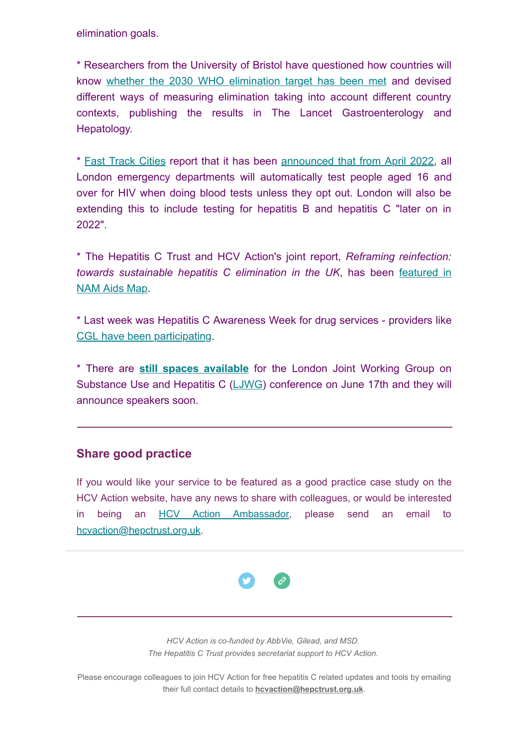elimination goals.

\* Researchers from the University of Bristol have questioned how countries will know [whether the 2030 WHO elimination](https://www.hprubse.nihr.ac.uk/news/how-will-countries-know-if-they-have-eliminated-hepatitis-c/) target has been met and devised different ways of measuring elimination taking into account different country contexts, publishing the results in The Lancet Gastroenterology and Hepatology.

\* [Fast Track Cities](https://fasttrackcities.london/) report that it has been [announced that from April 2022](https://fasttrackcities.london/testinginae/), all London emergency departments will automatically test people aged 16 and over for HIV when doing blood tests unless they opt out. London will also be extending this to include testing for hepatitis B and hepatitis C "later on in 2022".

\* The Hepatitis C Trust and HCV Action's joint report, *Reframing reinfection: [towards sustainable hepatitis C elimination in the UK](https://www.aidsmap.com/news/apr-2022/uk-report-urges-re-think-hepatitis-c-reinfection?utm_source=dlvr.it&utm_medium=twitter)*, has been featured in NAM Aids Map.

\* Last week was Hepatitis C Awareness Week for drug services - providers like [CGL have been participating](https://twitter.com/changegrowlive/status/1519670268213415938).

\* There are **[still spaces available](https://www.eventbrite.co.uk/e/the-ljwg-conference-2022-3-years-to-go-to-elimination-tickets-227539947107)** for the London Joint Working Group on Substance Use and Hepatitis C ([LJWG](http://ljwg.org.uk/)) conference on June 17th and they will announce speakers soon.

### **Share good practice**

If you would like your service to be featured as a good practice case study on the HCV Action website, have any news to share with colleagues, or would be interested in being an [HCV Action Ambassador](http://hcvaction.org.uk/hcv-action-ambassador-network), please send an email to [hcvaction@hepctrust.org.uk](mailto:hcvaction@hepctrust.org.uk).



*HCV Action is co-funded by AbbVie, Gilead, and MSD. The Hepatitis C Trust provides secretariat support to HCV Action.*

Please encourage colleagues to join HCV Action for free hepatitis C related updates and tools by emailing their full contact details to **[hcvaction@hepctrust.org.uk](mailto:hcvaction@hepctrust.org.uk)**.